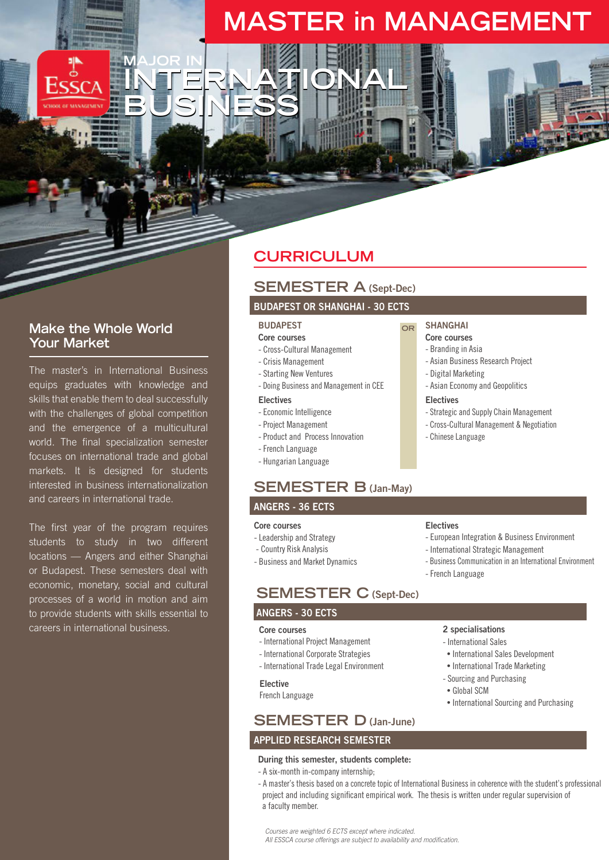# **MASTER in MANAGEMENT**

### **Make the Whole World Your Market**

**MAJOR IN**

**BUSINESS**

The master's in International Business equips graduates with knowledge and skills that enable them to deal successfully with the challenges of global competition and the emergence of a multicultural world. The final specialization semester focuses on international trade and global markets. It is designed for students interested in business internationalization and careers in international trade.

The first year of the program requires students to study in two different locations — Angers and either Shanghai or Budapest. These semesters deal with economic, monetary, social and cultural processes of a world in motion and aim to provide students with skills essential to careers in international business.

## **CURRICULUM**

### **SEMESTER A (Sept-Dec)**

#### **BUDAPEST OR SHANGHAI - 30 ECTS**

### **BUDAPEST**

**INTERNATIONAL** 

- **Core courses**
- Cross-Cultural Management
- Crisis Management
- Starting New Ventures
- Doing Business and Management in CEE

### **Electives**

- Economic Intelligence
- Project Management
- Product and Process Innovation
- French Language
- Hungarian Language

### **SEMESTER B (Jan-May)**

#### **ANGERS - 36 ECTS**

#### **Core courses**

- Leadership and Strategy
- Country Risk Analysis
- Business and Market Dynamics

### **SEMESTER C (Sept-Dec)**

#### **ANGERS - 30 ECTS**

#### **Core courses**

- International Project Management
- International Corporate Strategies
- International Trade Legal Environment

#### **Elective**

French Language

### **SEMESTER D (Jan-June)**

### **APPLIED RESEARCH SEMESTER**

#### **During this semester, students complete:**

- A six-month in-company internship;

#### - A master's thesis based on a concrete topic of International Business in coherence with the student's professional project and including significant empirical work. The thesis is written under regular supervision of a faculty member.

*Courses are weighted 6 ECTS except where indicated. All ESSCA course offerings are subject to availability and modification.*

- French Language

#### 2 specialisations

- International Sales
- International Sales Development

- European Integration & Business Environment - International Strategic Management

- Business Communication in an International Environment

- International Trade Marketing
- Sourcing and Purchasing
- Global SCM
- International Sourcing and Purchasing

**Electives**

**SHANGHAI Core courses**

**OR**

#### - Branding in Asia

- Asian Business Research Project
- Digital Marketing
- Asian Economy and Geopolitics

#### **Electives**

- Strategic and Supply Chain Management
- Cross-Cultural Management & Negotiation
- Chinese Language